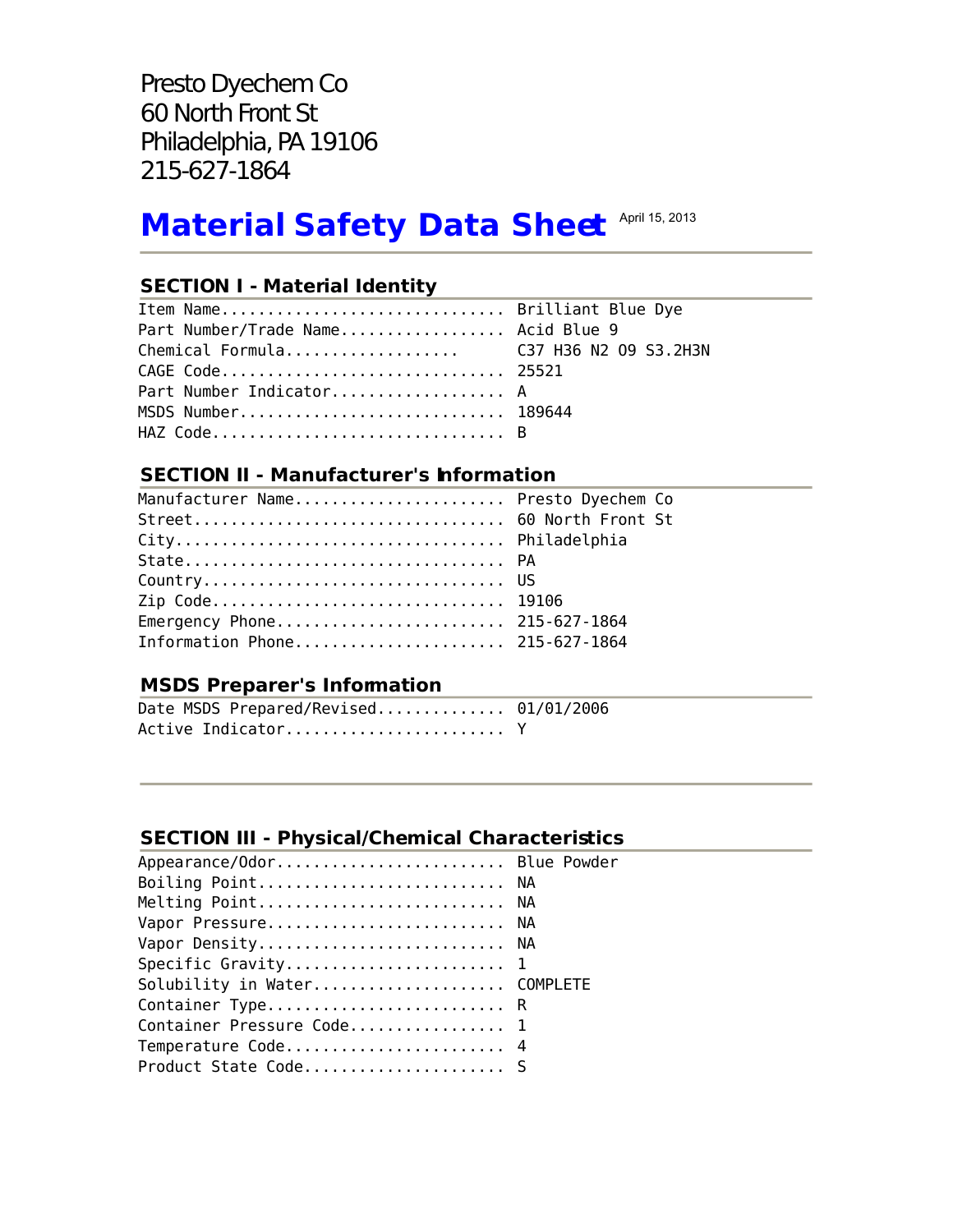Presto Dyechem Co 60 North Front St Philadelphia, PA 19106 215-627-1864

# **Material Safety Data Sheet April 15, 2013**

# **SECTION I - Material Identity**

| Item Name Brilliant Blue Dye           |  |
|----------------------------------------|--|
| Part Number/Trade Name Acid Blue 9     |  |
| Chemical Formula C37 H36 N2 09 S3.2H3N |  |
| CAGE Code 25521                        |  |
| Part Number Indicator A                |  |
| MSDS Number 189644                     |  |
| HAZ Code B                             |  |

# **SECTION II - Manufacturer's Information**

| Manufacturer Name Presto Dyechem Co |  |
|-------------------------------------|--|
|                                     |  |
|                                     |  |
|                                     |  |
|                                     |  |
| Zip Code 19106                      |  |
| Emergency Phone 215-627-1864        |  |
| Information Phone 215-627-1864      |  |

# **MSDS Preparer's Information**

| Date MSDS Prepared/Revised 01/01/2006 |  |
|---------------------------------------|--|
|                                       |  |

# **SECTION III - Physical/Chemical Characteristics**

| Appearance/Odor Blue Powder  |  |
|------------------------------|--|
| Boiling Point NA             |  |
| Melting Point NA             |  |
| Vapor Pressure NA            |  |
| Vapor Density NA             |  |
|                              |  |
| Solubility in Water COMPLETE |  |
| Container Type R             |  |
| Container Pressure Code 1    |  |
| Temperature Code 4           |  |
| Product State Code S         |  |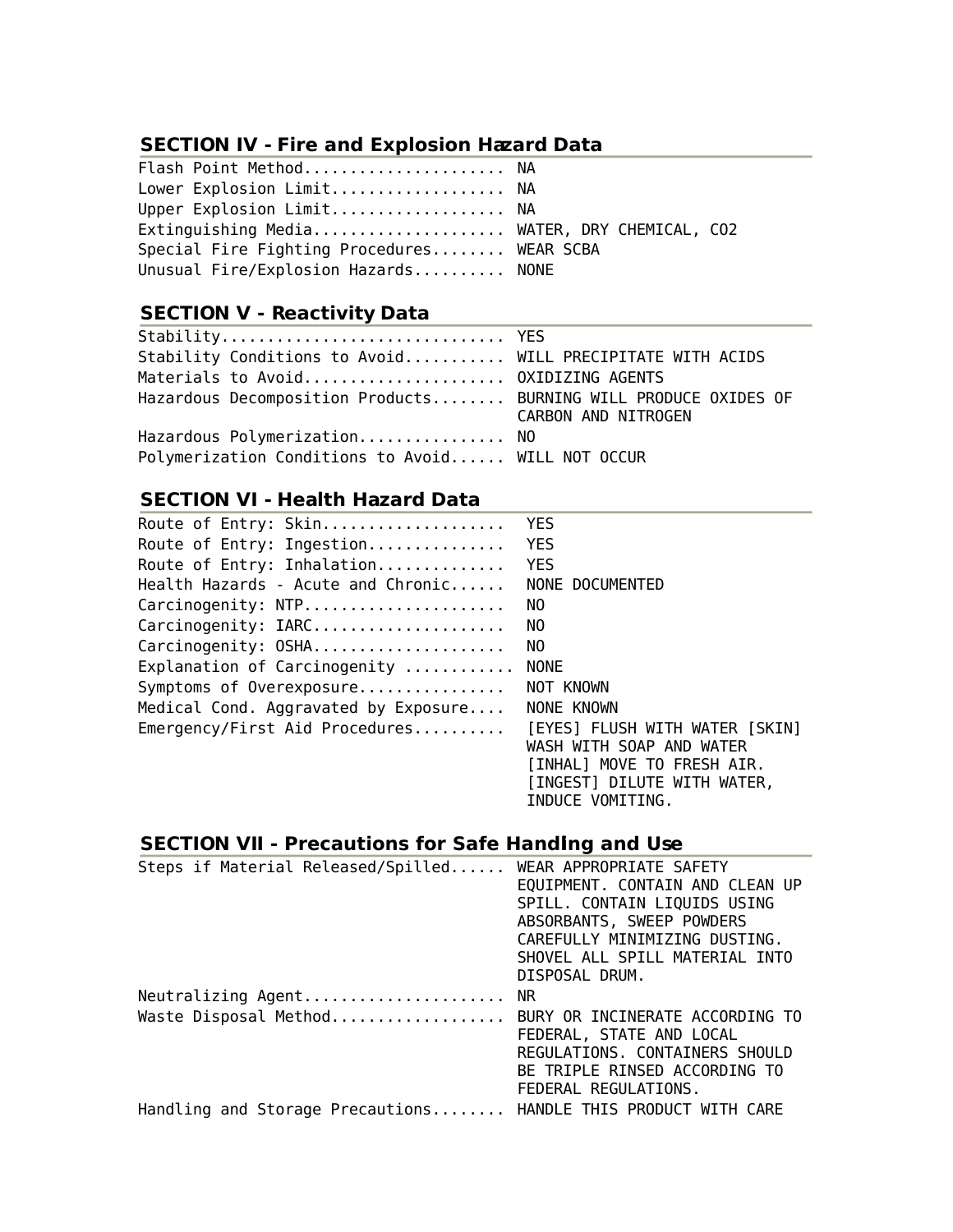# **SECTION IV - Fire and Explosion Hazard Data**

| Flash Point Method NA                        |  |
|----------------------------------------------|--|
| Lower Explosion Limit NA                     |  |
| Upper Explosion Limit NA                     |  |
| Extinguishing Media WATER, DRY CHEMICAL, CO2 |  |
| Special Fire Fighting Procedures WEAR SCBA   |  |
| Unusual Fire/Explosion Hazards NONE          |  |

# **SECTION V - Reactivity Data**

| Stability Conditions to Avoid WILL PRECIPITATE WITH ACIDS       |                     |
|-----------------------------------------------------------------|---------------------|
| Materials to Avoid OXIDIZING AGENTS                             |                     |
| Hazardous Decomposition Products BURNING WILL PRODUCE OXIDES OF | CARBON AND NITROGEN |
| Hazardous Polymerization NO                                     |                     |
| Polymerization Conditions to Avoid WILL NOT OCCUR               |                     |

# **SECTION VI - Health Hazard Data**

| <b>YES</b>                     |
|--------------------------------|
| <b>YES</b>                     |
| <b>YES</b>                     |
| NONE DOCUMENTED                |
| NO.                            |
| NO.                            |
| NO.                            |
| <b>NONE</b>                    |
| NOT KNOWN                      |
| NONE KNOWN                     |
| [EYES] FLUSH WITH WATER [SKIN] |
| WASH WITH SOAP AND WATER       |
| [INHAL] MOVE TO FRESH AIR.     |
| [INGEST] DILUTE WITH WATER,    |
| INDUCE VOMITING.               |
|                                |

# **SECTION VII - Precautions for Safe Handling and Use**

| Steps if Material Released/Spilled WEAR APPROPRIATE SAFETY     |                                 |
|----------------------------------------------------------------|---------------------------------|
|                                                                | EQUIPMENT. CONTAIN AND CLEAN UP |
|                                                                | SPILL. CONTAIN LIQUIDS USING    |
|                                                                | ABSORBANTS, SWEEP POWDERS       |
|                                                                | CAREFULLY MINIMIZING DUSTING.   |
|                                                                | SHOVEL ALL SPILL MATERIAL INTO  |
|                                                                | DISPOSAL DRUM.                  |
| Neutralizing Agent NR                                          |                                 |
| Waste Disposal Method BURY OR INCINERATE ACCORDING TO          |                                 |
|                                                                | FEDERAL, STATE AND LOCAL        |
|                                                                | REGULATIONS, CONTAINERS SHOULD  |
|                                                                | BE TRIPLE RINSED ACCORDING TO   |
|                                                                | FEDERAL REGULATIONS.            |
| Handling and Storage Precautions HANDLE THIS PRODUCT WITH CARE |                                 |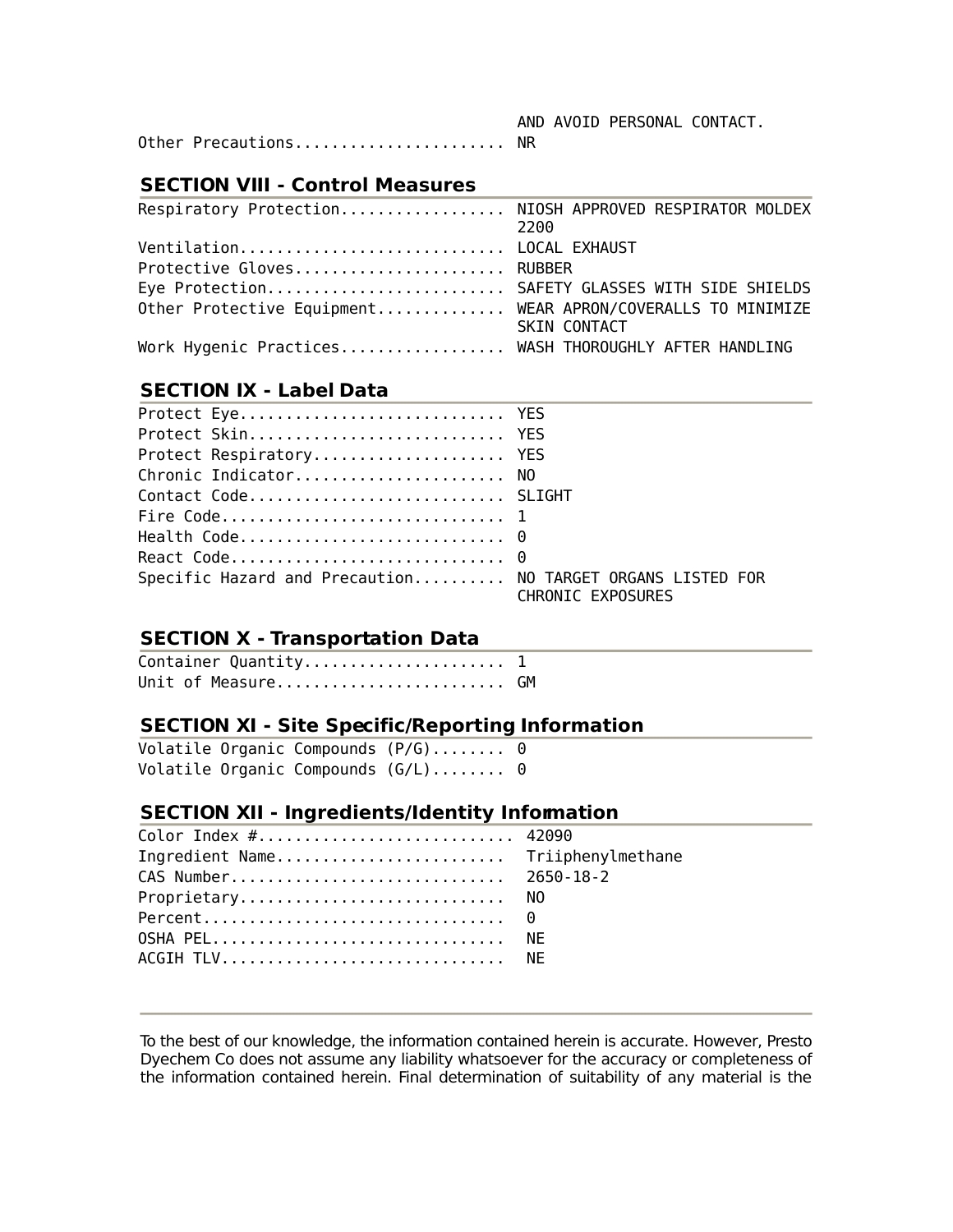Other Precautions.......................... NR

#### **SECTION VIII - Control Measures**

| Respiratory Protection NIOSH APPROVED RESPIRATOR MOLDEX     | 2200                |
|-------------------------------------------------------------|---------------------|
| Ventilation LOCAL EXHAUST                                   |                     |
| Protective Gloves RUBBER                                    |                     |
| Eye Protection SAFETY GLASSES WITH SIDE SHIELDS             |                     |
| Other Protective Equipment WEAR APRON/COVERALLS TO MINIMIZE |                     |
|                                                             | <b>SKIN CONTACT</b> |
| Work Hygenic Practices WASH THOROUGHLY AFTER HANDLING       |                     |

#### **SECTION IX - Label Data**

| Protect Eye YES                                            |                   |
|------------------------------------------------------------|-------------------|
| Protect Skin YES                                           |                   |
| Protect Respiratory YES                                    |                   |
| Chronic Indicator NO                                       |                   |
| Contact Code SLIGHT                                        |                   |
|                                                            |                   |
|                                                            |                   |
|                                                            |                   |
| Specific Hazard and Precaution NO TARGET ORGANS LISTED FOR | CHRONIC EXPOSURES |

# **SECTION X - Transportation Data**

| Container Quantity 1 |  |
|----------------------|--|
| Unit of Measure GM   |  |

## **SECTION XI - Site Specific/Reporting Information**

|  | Volatile Organic Compounds $(P/G)$ 0 |  |
|--|--------------------------------------|--|
|  | Volatile Organic Compounds $(G/L)$ 0 |  |

### **SECTION XII - Ingredients/Identity Information**

| Color Index # 42090               |  |
|-----------------------------------|--|
| Ingredient Name Triiphenylmethane |  |
| CAS Number 2650-18-2              |  |
| Proprietary NO                    |  |
|                                   |  |
| OSHA PEL NE                       |  |
| ACGIH TLV NE                      |  |
|                                   |  |

To the best of our knowledge, the information contained herein is accurate. However, Presto Dyechem Co does not assume any liability whatsoever for the accuracy or completeness of the information contained herein. Final determination of suitability of any material is the